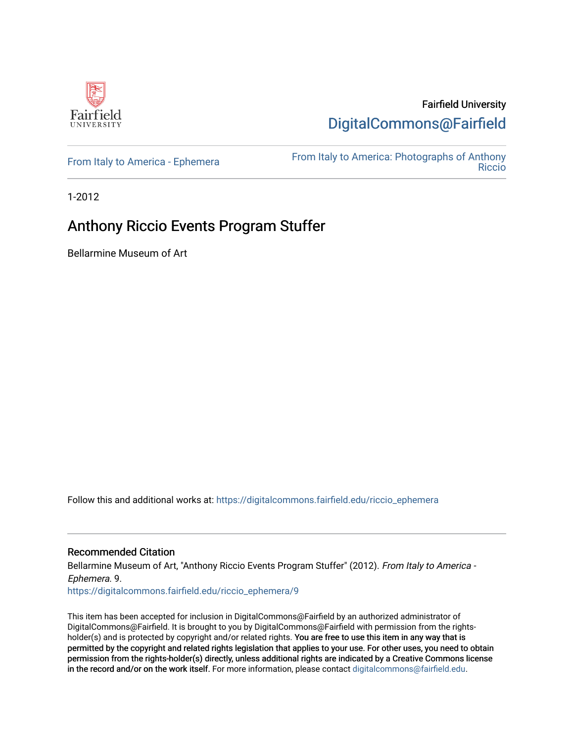

Fairfield University [DigitalCommons@Fairfield](https://digitalcommons.fairfield.edu/) 

[From Italy to America - Ephemera](https://digitalcommons.fairfield.edu/riccio_ephemera)<br>Biocio [Riccio](https://digitalcommons.fairfield.edu/riccio) 

1-2012

### Anthony Riccio Events Program Stuffer

Bellarmine Museum of Art

Follow this and additional works at: [https://digitalcommons.fairfield.edu/riccio\\_ephemera](https://digitalcommons.fairfield.edu/riccio_ephemera?utm_source=digitalcommons.fairfield.edu%2Friccio_ephemera%2F9&utm_medium=PDF&utm_campaign=PDFCoverPages)

#### Recommended Citation

Bellarmine Museum of Art, "Anthony Riccio Events Program Stuffer" (2012). From Italy to America -Ephemera. 9.

[https://digitalcommons.fairfield.edu/riccio\\_ephemera/9](https://digitalcommons.fairfield.edu/riccio_ephemera/9?utm_source=digitalcommons.fairfield.edu%2Friccio_ephemera%2F9&utm_medium=PDF&utm_campaign=PDFCoverPages) 

This item has been accepted for inclusion in DigitalCommons@Fairfield by an authorized administrator of DigitalCommons@Fairfield. It is brought to you by DigitalCommons@Fairfield with permission from the rightsholder(s) and is protected by copyright and/or related rights. You are free to use this item in any way that is permitted by the copyright and related rights legislation that applies to your use. For other uses, you need to obtain permission from the rights-holder(s) directly, unless additional rights are indicated by a Creative Commons license in the record and/or on the work itself. For more information, please contact [digitalcommons@fairfield.edu.](mailto:digitalcommons@fairfield.edu)